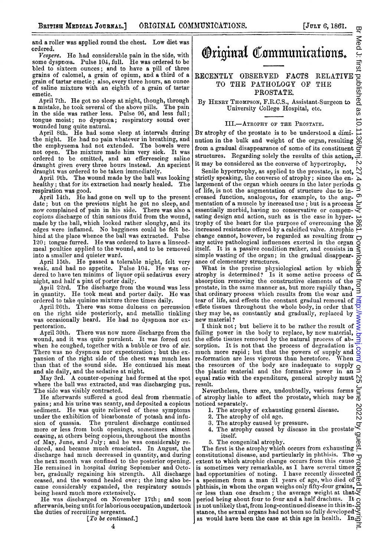and a roller was applied round the chest. Low diet was ordered.

Vespere. He had considerable pain in the side, with some dyspncea. Pulse 104, full. He was ordered to be bled to sixteen ounces; and to have a pill of three grains of calomel, a grain of opium, and a third of a grain of tartar emetic; also, every three hours, an ounce of saline mixture with an eighth of a grain of tartar emetic.

April 7th. He got no sleep at night, though, through<br>mistake, he took several of the above pills. The pain a mistake, he took several of the above pills. in the side was rather less. Pulse 96, and less full; tongue moist; no dyspnœa; respiratory sound over

wounded lung quite natural. April 8th. He had some sleep at intervals during the night. He had no pain whatever in breathing, and the emphysema had not extended. The bowels were not open. The mixture made him very sick. It was ordered to be omitted, and an effervescing saline draught given every three hours instead. An aperient draught was ordered to be taken immediately.

April 9th. The wound made by the ball was looking healthy; that for its extraction had nearly healed. The respiration was good.

April 14th. He had gone on well up to the present date; but on the previous night he got no sleep, and now complained of pain in his side. There was also <sup>a</sup> copious discharge of thin sanious fluid from the wound, made by the ball, which looked rather sloughy, and its edges were inflamed. No bagginess could be felt behind at the place whence the ball was extracted. Pulse 120; tongue furred. He was ordered to have <sup>a</sup> linseedneal poultice applied to the wound, and to be removed into a smaller and quieter ward.

April 15th. He passed <sup>a</sup> tolerable night, felt verv weak, and had no appetite. Pulse 104. He was or-dered to have ten minims of liquor opii sedativus every night, and half a pint of porter daily.

Apiil 22rd. The discharge from the wound was less in quantity. He took meat and porter daily. He was ordered to take quinine mixture three times daily.

April 20th. There was some dulness on percussion on the right side posteriorly, and metallic tinkling was occasionally heard. He had no dyspnœa nor ex-

pectoration.<br>April 30th. There was now more discharge from the wound, and it was quite purulent. It was forced out when he coughed, together with a bubble or two of air. There was no dyspncea nor expectoration; but the expansion of the right side of the chest was much less than that of the sound side. He continued his meat and ale daily, and the sedative at nigbt.

May 3rd. A counter-opening had formed at the spot where the ball was extracted, and was discharging pus. The side was visibly contracted.

He afterwards suffered a good deal from rheumatic pains; and his urine was scanty, and deposited a copious sediment. He was quite relieved of these symptoms under the exhibition of bicarbonate of potash and infusion of quassia. The purulent discharge continued<br>more or less from both openings, sometimes almost ceasing, at others being copious, throughout the months of May, June, and July; and he was considerably re-duced, and became much emaciated. In August, the discharge had much decreased in quantity, and during the next month was confined to the posterior opening. He remained in hospital during September and October, gradually regaining his strength. ceased, and the wound healed over; the lung also became considerably expanded, the respiratory sounds being heard much more extensively.

He was discharged on November 17th; and soon afterwards, being unfit for laborious occupation, undertook the duties of recruiting sergeant.

[*To be continued.*]

Original Communications.

## RECENTLY OBSERVED FACTS RELATIVE TO THE PATHOLOGY OF THE PROSTATE.

By HENRY THOMPSON, F.R.C.S., Assistant-Surgeon to University College Hospital, etc.

## III.-ATROPHY OF THE PROSTATE.

By atrophy of the prostate is to be understood a diminution in the bulk and weight of the organ, resulting  $\overline{\omega}$ from a gradual disappearance of some of its constituent  $\overrightarrow{O}$ structures. Regarding solely the results of this action,  $\exists$ . it may be considered as the converse of hypertrophy.

Senile hypertrophy, as applied to the prostate, is not,  $\bigvee$ strictly speaking, the converse of atrophy; since the en- $\sim$ largement of the organ which occurs in the later periods  $\alpha$ of life, is not the augmentation of structure due to in- creased function, analogous, for example, to the augmentation of a muscle by increased use; but is a process  $\epsilon$ essentially morbid, having no conservative or compen- $\bar{\Leftarrow}$ sating design and action, such as is the case in hyper. trophy of the heart for the purpose of overcoming the  $\infty$ increased resistance offered by a calcified valve. Atrophic change cannot, however, be regarded as resulting fronr any active pathological influences exerted in the organ itself. It is a passive condition rather, and consists in  $\leq$ simple wasting of the organ; in the gradual disappearance of elementary structures.

What is the precise physiological action by which atrophy is determined? Is it some active process of absorption removing the constructive elements of the prostate, in the same manner as, but more rapidly than, that ordinary process which results from the wear and tear of life, and effects the constant gradual removal of effete tissues throughout the whole body, in order that  $\frac{1}{2}$ they may be, as constantly and gradually, replaced by new material?

I think not; but believe it to be rather the result of failing power in the body to replace, by new material, the effete tissues removed by the natural process of ab. sorption. It is not that the process of degradation is much more rapid; but that the powers of supply and  $\frac{S}{S}$  re-formation are less vigorous than heretofore. When  $\frac{S}{S}$ re-formation are less vigorous than heretofore. the resources of the body are inadequate to supply the plastic material and the formative power in an equal ratio with the expenditure, general atrophy must  $\bigcirc$ resuilt.

Nevertheless, there are, undoubtedly, various forms of atrophy liable to affect the prostate, which may be  $\frac{1}{0}$ noticed separately.

- 1. The atrophy of exhausting general disease.
- 2. The atrophy of old age.<br>3. The atrophy caused by
	- The atrophy caused by pressure.
- 4. The atrophy caused by disease in the prostate itself.

5. The congenital atrophy.

The first is the atrophy which occurs from exhausting of constitutional disease, and particularly in phthisis. The  $\tau$ extent to which atrophic change occurs from this cause  $\overline{S}$ is sometimes very remarkable, as I have several times had opportunities of noting. I have recently dissected <sup>a</sup> specimen from a man 21 years of age, wlho died of phthisis, in whom the organ weighs only fifty-four grains, or less than one drachm; the average weiglht at that period being about four to four and a half drachms. It is not unlikely that, from long-continued disease in this instance, the sexual organs had not been so fully developed $\gtrless$ as would have been the case at this age in health. In  $\vec{a}$